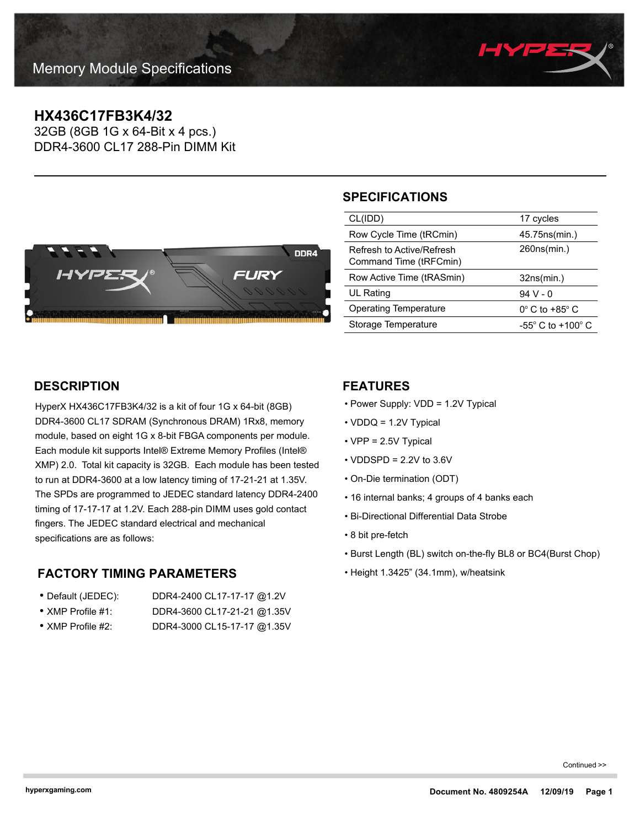

# **HX436C17FB3K4/32**

32GB (8GB 1G x 64-Bit x 4 pcs.) DDR4-3600 CL17 288-Pin DIMM Kit



## **SPECIFICATIONS**

| CL(IDD)                                             | 17 cycles                           |
|-----------------------------------------------------|-------------------------------------|
| Row Cycle Time (tRCmin)                             | 45.75 ns (min.)                     |
| Refresh to Active/Refresh<br>Command Time (tRFCmin) | 260ns(min.)                         |
|                                                     |                                     |
| Row Active Time (tRASmin)                           | 32ns(min.)                          |
| UL Rating                                           | 94 V - 0                            |
| <b>Operating Temperature</b>                        | $0^\circ$ C to +85 $^\circ$ C       |
| Storage Temperature                                 | $-55^{\circ}$ C to $+100^{\circ}$ C |

### **DESCRIPTION**

HyperX HX436C17FB3K4/32 is a kit of four 1G x 64-bit (8GB) DDR4-3600 CL17 SDRAM (Synchronous DRAM) 1Rx8, memory module, based on eight 1G x 8-bit FBGA components per module. Each module kit supports Intel® Extreme Memory Profiles (Intel® XMP) 2.0. Total kit capacity is 32GB. Each module has been tested to run at DDR4-3600 at a low latency timing of 17-21-21 at 1.35V. The SPDs are programmed to JEDEC standard latency DDR4-2400 timing of 17-17-17 at 1.2V. Each 288-pin DIMM uses gold contact fingers. The JEDEC standard electrical and mechanical specifications are as follows:

### **FACTORY TIMING PARAMETERS**

| • Default (JEDEC):        | DDR4-2400 CL17-17-17 @1.2V  |
|---------------------------|-----------------------------|
| $\bullet$ XMP Profile #1: | DDR4-3600 CL17-21-21 @1.35V |

• XMP Profile #2: DDR4-3000 CL15-17-17 @1.35V

#### **FEATURES**

- Power Supply: VDD = 1.2V Typical
- VDDQ = 1.2V Typical
- VPP = 2.5V Typical
- $\cdot$  VDDSPD = 2.2V to 3.6V
- On-Die termination (ODT)
- 16 internal banks; 4 groups of 4 banks each
- Bi-Directional Differential Data Strobe
- 8 bit pre-fetch
- Burst Length (BL) switch on-the-fly BL8 or BC4(Burst Chop)
- Height 1.3425" (34.1mm), w/heatsink